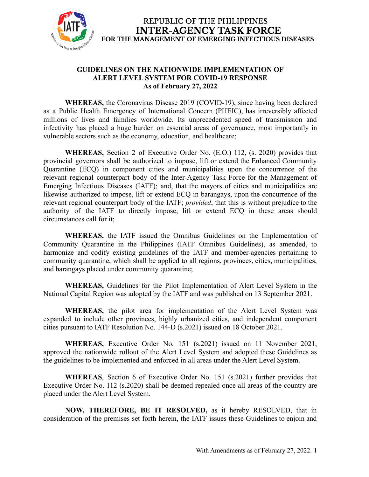

#### **GUIDELINES ON THE NATIONWIDE IMPLEMENTATION OF ALERT LEVEL SYSTEM FOR COVID-19 RESPONSE As of February 27, 2022**

**WHEREAS,** the Coronavirus Disease 2019 (COVID-19), since having been declared as a Public Health Emergency of International Concern (PHEIC), has irreversibly affected millions of lives and families worldwide. Its unprecedented speed of transmission and infectivity has placed a huge burden on essential areas of governance, most importantly in vulnerable sectors such as the economy, education, and healthcare;

**WHEREAS,** Section 2 of Executive Order No. (E.O.) 112, (s. 2020) provides that provincial governors shall be authorized to impose, lift or extend the Enhanced Community Quarantine (ECQ) in component cities and municipalities upon the concurrence of the relevant regional counterpart body of the Inter-Agency Task Force for the Management of Emerging Infectious Diseases (IATF); and, that the mayors of cities and municipalities are likewise authorized to impose, lift or extend ECQ in barangays, upon the concurrence of the relevant regional counterpart body of the IATF; *provided*, that this is without prejudice to the authority of the IATF to directly impose, lift or extend ECQ in these areas should circumstances call for it;

**WHEREAS,** the IATF issued the Omnibus Guidelines on the Implementation of Community Quarantine in the Philippines (IATF Omnibus Guidelines), as amended, to harmonize and codify existing guidelines of the IATF and member-agencies pertaining to community quarantine, which shall be applied to all regions, provinces, cities, municipalities, and barangays placed under community quarantine;

**WHEREAS,** Guidelines for the Pilot Implementation of Alert Level System in the National Capital Region was adopted by the IATF and was published on 13 September 2021.

**WHEREAS,** the pilot area for implementation of the Alert Level System was expanded to include other provinces, highly urbanized cities, and independent component cities pursuant to IATF Resolution No. 144-D (s.2021) issued on 18 October 2021.

**WHEREAS,** Executive Order No. 151 (s.2021) issued on 11 November 2021, approved the nationwide rollout of the Alert Level System and adopted these Guidelines as the guidelines to be implemented and enforced in all areas under the Alert Level System.

**WHEREAS**, Section 6 of Executive Order No. 151 (s.2021) further provides that Executive Order No. 112 (s.2020) shall be deemed repealed once all areas of the country are placed under the Alert Level System.

**NOW, THEREFORE, BE IT RESOLVED,** as it hereby RESOLVED, that in consideration of the premises set forth herein, the IATF issues these Guidelines to enjoin and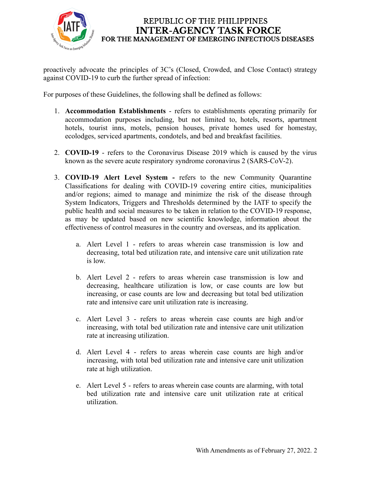

proactively advocate the principles of 3C's (Closed, Crowded, and Close Contact) strategy against COVID-19 to curb the further spread of infection:

For purposes of these Guidelines, the following shall be defined as follows:

- 1. **Accommodation Establishments** refers to establishments operating primarily for accommodation purposes including, but not limited to, hotels, resorts, apartment hotels, tourist inns, motels, pension houses, private homes used for homestay, ecolodges, serviced apartments, condotels, and bed and breakfast facilities.
- 2. **COVID-19** refers to the Coronavirus Disease 2019 which is caused by the virus known as the severe acute respiratory syndrome coronavirus 2 (SARS-CoV-2).
- 3. **COVID-19 Alert Level System -** refers to the new Community Quarantine Classifications for dealing with COVID-19 covering entire cities, municipalities and/or regions; aimed to manage and minimize the risk of the disease through System Indicators, Triggers and Thresholds determined by the IATF to specify the public health and social measures to be taken in relation to the COVID-19 response, as may be updated based on new scientific knowledge, information about the effectiveness of control measures in the country and overseas, and its application.
	- a. Alert Level 1 refers to areas wherein case transmission is low and decreasing, total bed utilization rate, and intensive care unit utilization rate is low.
	- b. Alert Level 2 refers to areas wherein case transmission is low and decreasing, healthcare utilization is low, or case counts are low but increasing, or case counts are low and decreasing but total bed utilization rate and intensive care unit utilization rate is increasing.
	- c. Alert Level 3 refers to areas wherein case counts are high and/or increasing, with total bed utilization rate and intensive care unit utilization rate at increasing utilization.
	- d. Alert Level 4 refers to areas wherein case counts are high and/or increasing, with total bed utilization rate and intensive care unit utilization rate at high utilization.
	- e. Alert Level 5 refers to areas wherein case counts are alarming, with total bed utilization rate and intensive care unit utilization rate at critical utilization.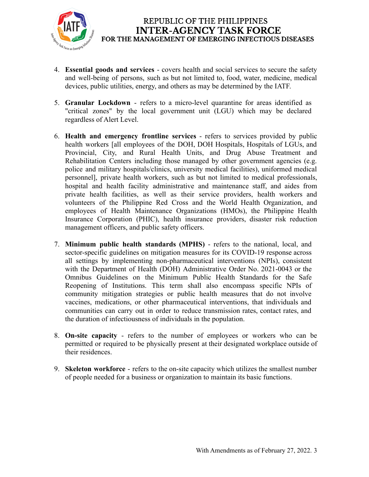

- 4. **Essential goods and services** covers health and social services to secure the safety and well-being of persons, such as but not limited to, food, water, medicine, medical devices, public utilities, energy, and others as may be determined by the IATF.
- 5. **Granular Lockdown** refers to a micro-level quarantine for areas identified as "critical zones" by the local government unit (LGU) which may be declared regardless of Alert Level.
- 6. **Health and emergency frontline services** refers to services provided by public health workers [all employees of the DOH, DOH Hospitals, Hospitals of LGUs, and Provincial, City, and Rural Health Units, and Drug Abuse Treatment and Rehabilitation Centers including those managed by other government agencies (e.g. police and military hospitals/clinics, university medical facilities), uniformed medical personnel], private health workers, such as but not limited to medical professionals, hospital and health facility administrative and maintenance staff, and aides from private health facilities, as well as their service providers, health workers and volunteers of the Philippine Red Cross and the World Health Organization, and employees of Health Maintenance Organizations (HMOs), the Philippine Health Insurance Corporation (PHIC), health insurance providers, disaster risk reduction management officers, and public safety officers.
- 7. **Minimum public health standards (MPHS)** refers to the national, local, and sector-specific guidelines on mitigation measures for its COVID-19 response across all settings by implementing non-pharmaceutical interventions (NPIs), consistent with the Department of Health (DOH) Administrative Order No. 2021-0043 or the Omnibus Guidelines on the Minimum Public Health Standards for the Safe Reopening of Institutions. This term shall also encompass specific NPIs of community mitigation strategies or public health measures that do not involve vaccines, medications, or other pharmaceutical interventions, that individuals and communities can carry out in order to reduce transmission rates, contact rates, and the duration of infectiousness of individuals in the population.
- 8. **On-site capacity** refers to the number of employees or workers who can be permitted or required to be physically present at their designated workplace outside of their residences.
- 9. **Skeleton workforce** refers to the on-site capacity which utilizes the [smallest](https://dictionary.cambridge.org/us/dictionary/english/small) [number](https://dictionary.cambridge.org/us/dictionary/english/number) of [people](https://dictionary.cambridge.org/us/dictionary/english/people) [needed](https://dictionary.cambridge.org/us/dictionary/english/needed) for a [business](https://dictionary.cambridge.org/us/dictionary/english/business) or [organization](https://dictionary.cambridge.org/us/dictionary/english/organization) to maintain its basic functions.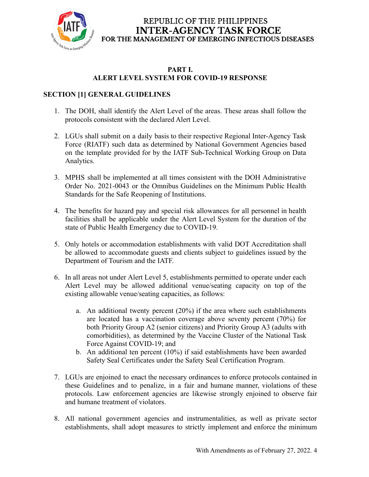

#### **PART I. ALERT LEVEL SYSTEM FOR COVID-19 RESPONSE**

## **SECTION [1] GENERAL GUIDELINES**

- 1. The DOH, shall identify the Alert Level of the areas. These areas shall follow the protocols consistent with the declared Alert Level.
- 2. LGUs shall submit on a daily basis to their respective Regional Inter-Agency Task Force (RIATF) such data as determined by National Government Agencies based on the template provided for by the IATF Sub-Technical Working Group on Data Analytics.
- 3. MPHS shall be implemented at all times consistent with the DOH Administrative Order No. 2021-0043 or the Omnibus Guidelines on the Minimum Public Health Standards for the Safe Reopening of Institutions.
- 4. The benefits for hazard pay and special risk allowances for all personnel in health facilities shall be applicable under the Alert Level System for the duration of the state of Public Health Emergency due to COVID-19.
- 5. Only hotels or accommodation establishments with valid DOT Accreditation shall be allowed to accommodate guests and clients subject to guidelines issued by the Department of Tourism and the IATF.
- 6. In all areas not under Alert Level 5, establishments permitted to operate under each Alert Level may be allowed additional venue/seating capacity on top of the existing allowable venue/seating capacities, as follows:
	- a. An additional twenty percent (20%) if the area where such establishments are located has a vaccination coverage above seventy percent (70%) for both Priority Group A2 (senior citizens) and Priority Group A3 (adults with comorbidities), as determined by the Vaccine Cluster of the National Task Force Against COVID-19; and
	- b. An additional ten percent (10%) if said establishments have been awarded Safety Seal Certificates under the Safety Seal Certification Program.
- 7. LGUs are enjoined to enact the necessary ordinances to enforce protocols contained in these Guidelines and to penalize, in a fair and humane manner, violations of these protocols. Law enforcement agencies are likewise strongly enjoined to observe fair and humane treatment of violators.
- 8. All national government agencies and instrumentalities, as well as private sector establishments, shall adopt measures to strictly implement and enforce the minimum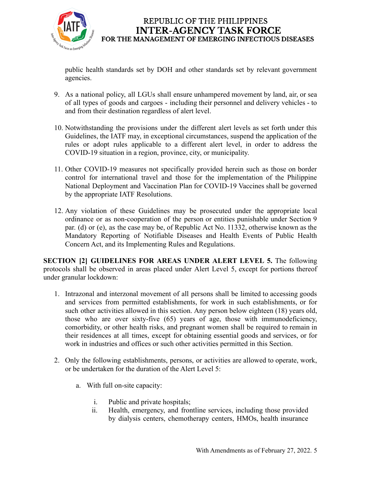

public health standards set by DOH and other standards set by relevant government agencies.

- 9. As a national policy, all LGUs shall ensure unhampered movement by land, air, or sea of all types of goods and cargoes - including their personnel and delivery vehicles - to and from their destination regardless of alert level.
- 10. Notwithstanding the provisions under the different alert levels as set forth under this Guidelines, the IATF may, in exceptional circumstances, suspend the application of the rules or adopt rules applicable to a different alert level, in order to address the COVID-19 situation in a region, province, city, or municipality.
- 11. Other COVID-19 measures not specifically provided herein such as those on border control for international travel and those for the implementation of the Philippine National Deployment and Vaccination Plan for COVID-19 Vaccines shall be governed by the appropriate IATF Resolutions.
- 12. Any violation of these Guidelines may be prosecuted under the appropriate local ordinance or as non-cooperation of the person or entities punishable under Section 9 par. (d) or (e), as the case may be, of Republic Act No. 11332, otherwise known as the Mandatory Reporting of Notifiable Diseases and Health Events of Public Health Concern Act, and its Implementing Rules and Regulations.

**SECTION [2] GUIDELINES FOR AREAS UNDER ALERT LEVEL 5.** The following protocols shall be observed in areas placed under Alert Level 5, except for portions thereof under granular lockdown:

- 1. Intrazonal and interzonal movement of all persons shall be limited to accessing goods and services from permitted establishments, for work in such establishments, or for such other activities allowed in this section. Any person below eighteen (18) years old, those who are over sixty-five (65) years of age, those with immunodeficiency, comorbidity, or other health risks, and pregnant women shall be required to remain in their residences at all times, except for obtaining essential goods and services, or for work in industries and offices or such other activities permitted in this Section.
- 2. Only the following establishments, persons, or activities are allowed to operate, work, or be undertaken for the duration of the Alert Level 5:
	- a. With full on-site capacity:
		- i. Public and private hospitals;
		- ii. Health, emergency, and frontline services, including those provided by dialysis centers, chemotherapy centers, HMOs, health insurance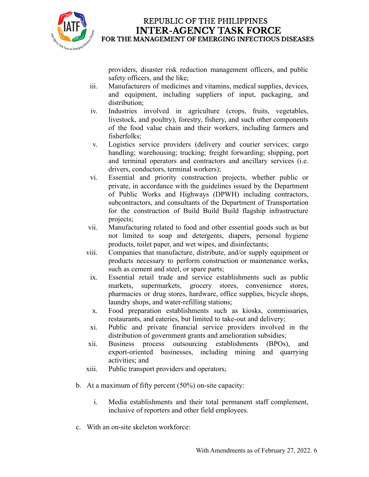

providers, disaster risk reduction management officers, and public safety officers, and the like;

- iii. Manufacturers of medicines and vitamins, medical supplies, devices, and equipment, including suppliers of input, packaging, and distribution;
- iv. Industries involved in agriculture (crops, fruits, vegetables, livestock, and poultry), forestry, fishery, and such other components of the food value chain and their workers, including farmers and fisherfolks;
- v. Logistics service providers (delivery and courier services; cargo handling; warehousing; trucking; freight forwarding; shipping, port and terminal operators and contractors and ancillary services (i.e. drivers, conductors, terminal workers);
- vi. Essential and priority construction projects, whether public or private, in accordance with the guidelines issued by the Department of Public Works and Highways (DPWH) including contractors, subcontractors, and consultants of the Department of Transportation for the construction of Build Build Build flagship infrastructure projects;
- vii. Manufacturing related to food and other essential goods such as but not limited to soap and detergents, diapers, personal hygiene products, toilet paper, and wet wipes, and disinfectants;
- viii. Companies that manufacture, distribute, and/or supply equipment or products necessary to perform construction or maintenance works, such as cement and steel, or spare parts;
- ix. Essential retail trade and service establishments such as public markets, supermarkets, grocery stores, convenience stores, pharmacies or drug stores, hardware, office supplies, bicycle shops, laundry shops, and water-refilling stations;
- x. Food preparation establishments such as kiosks, commissaries, restaurants, and eateries, but limited to take-out and delivery;
- xi. Public and private financial service providers involved in the distribution of government grants and amelioration subsidies;
- xii. Business process outsourcing establishments (BPOs), and export-oriented businesses, including mining and quarrying activities; and
- xiii. Public transport providers and operators;
- b. At a maximum of fifty percent (50%) on-site capacity:
	- i. Media establishments and their total permanent staff complement, inclusive of reporters and other field employees.
- c. With an on-site skeleton workforce: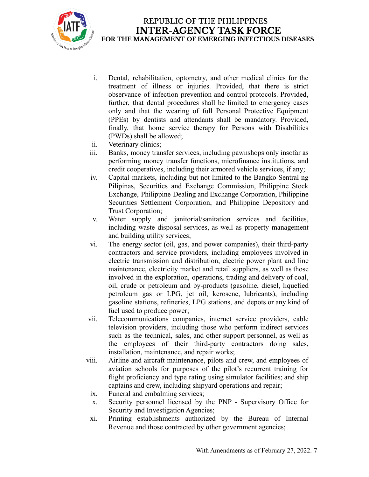

- i. Dental, rehabilitation, optometry, and other medical clinics for the treatment of illness or injuries. Provided, that there is strict observance of infection prevention and control protocols. Provided, further, that dental procedures shall be limited to emergency cases only and that the wearing of full Personal Protective Equipment (PPEs) by dentists and attendants shall be mandatory. Provided, finally, that home service therapy for Persons with Disabilities (PWDs) shall be allowed;
- ii. Veterinary clinics;
- iii. Banks, money transfer services, including pawnshops only insofar as performing money transfer functions, microfinance institutions, and credit cooperatives, including their armored vehicle services, if any;
- iv. Capital markets, including but not limited to the Bangko Sentral ng Pilipinas, Securities and Exchange Commission, Philippine Stock Exchange, Philippine Dealing and Exchange Corporation, Philippine Securities Settlement Corporation, and Philippine Depository and Trust Corporation;
- v. Water supply and janitorial/sanitation services and facilities, including waste disposal services, as well as property management and building utility services;
- vi. The energy sector (oil, gas, and power companies), their third-party contractors and service providers, including employees involved in electric transmission and distribution, electric power plant and line maintenance, electricity market and retail suppliers, as well as those involved in the exploration, operations, trading and delivery of coal, oil, crude or petroleum and by-products (gasoline, diesel, liquefied petroleum gas or LPG, jet oil, kerosene, lubricants), including gasoline stations, refineries, LPG stations, and depots or any kind of fuel used to produce power;
- vii. Telecommunications companies, internet service providers, cable television providers, including those who perform indirect services such as the technical, sales, and other support personnel, as well as the employees of their third-party contractors doing sales, installation, maintenance, and repair works;
- viii. Airline and aircraft maintenance, pilots and crew, and employees of aviation schools for purposes of the pilot's recurrent training for flight proficiency and type rating using simulator facilities; and ship captains and crew, including shipyard operations and repair;
- ix. Funeral and embalming services;
- x. Security personnel licensed by the PNP Supervisory Office for Security and Investigation Agencies;
- xi. Printing establishments authorized by the Bureau of Internal Revenue and those contracted by other government agencies;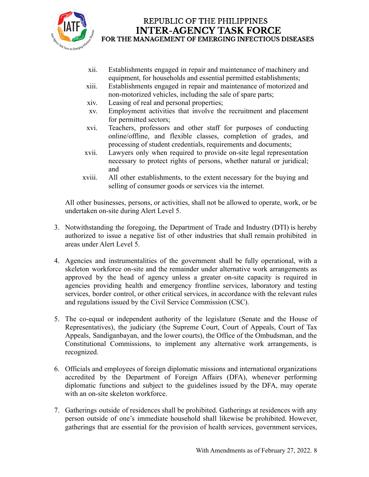

- xii. Establishments engaged in repair and maintenance of machinery and equipment, for households and essential permitted establishments;
- xiii. Establishments engaged in repair and maintenance of motorized and non-motorized vehicles, including the sale of spare parts;
- xiv. Leasing of real and personal properties;
- xv. Employment activities that involve the recruitment and placement for permitted sectors;
- xvi. Teachers, professors and other staff for purposes of conducting online/offline, and flexible classes, completion of grades, and processing of student credentials, requirements and documents;
- xvii. Lawyers only when required to provide on-site legal representation necessary to protect rights of persons, whether natural or juridical; and
- xviii. All other establishments, to the extent necessary for the buying and selling of consumer goods or services via the internet.

All other businesses, persons, or activities, shall not be allowed to operate, work, or be undertaken on-site during Alert Level 5.

- 3. Notwithstanding the foregoing, the Department of Trade and Industry (DTI) is hereby authorized to issue a negative list of other industries that shall remain prohibited in areas under Alert Level 5.
- 4. Agencies and instrumentalities of the government shall be fully operational, with a skeleton workforce on-site and the remainder under alternative work arrangements as approved by the head of agency unless a greater on-site capacity is required in agencies providing health and emergency frontline services, laboratory and testing services, border control, or other critical services, in accordance with the relevant rules and regulations issued by the Civil Service Commission (CSC).
- 5. The co-equal or independent authority of the legislature (Senate and the House of Representatives), the judiciary (the Supreme Court, Court of Appeals, Court of Tax Appeals, Sandiganbayan, and the lower courts), the Office of the Ombudsman, and the Constitutional Commissions, to implement any alternative work arrangements, is recognized.
- 6. Officials and employees of foreign diplomatic missions and international organizations accredited by the Department of Foreign Affairs (DFA), whenever performing diplomatic functions and subject to the guidelines issued by the DFA, may operate with an on-site skeleton workforce.
- 7. Gatherings outside of residences shall be prohibited. Gatherings at residences with any person outside of one's immediate household shall likewise be prohibited. However, gatherings that are essential for the provision of health services, government services,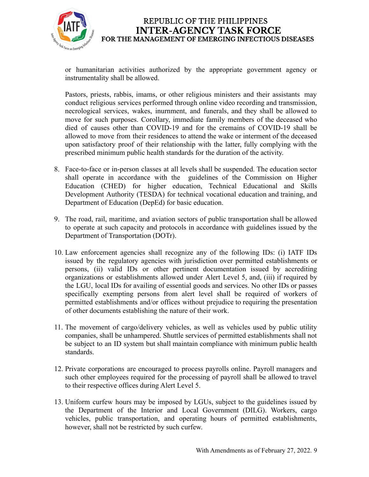

or humanitarian activities authorized by the appropriate government agency or instrumentality shall be allowed.

Pastors, priests, rabbis, imams, or other religious ministers and their assistants may conduct religious services performed through online video recording and transmission, necrological services, wakes, inurnment, and funerals, and they shall be allowed to move for such purposes. Corollary, immediate family members of the deceased who died of causes other than COVID-19 and for the cremains of COVID-19 shall be allowed to move from their residences to attend the wake or interment of the deceased upon satisfactory proof of their relationship with the latter, fully complying with the prescribed minimum public health standards for the duration of the activity.

- 8. Face-to-face or in-person classes at all levels shall be suspended. The education sector shall operate in accordance with the guidelines of the Commission on Higher Education (CHED) for higher education, Technical Educational and Skills Development Authority (TESDA) for technical vocational education and training, and Department of Education (DepEd) for basic education.
- 9. The road, rail, maritime, and aviation sectors of public transportation shall be allowed to operate at such capacity and protocols in accordance with guidelines issued by the Department of Transportation (DOTr).
- 10. Law enforcement agencies shall recognize any of the following IDs: (i) IATF IDs issued by the regulatory agencies with jurisdiction over permitted establishments or persons, (ii) valid IDs or other pertinent documentation issued by accrediting organizations or establishments allowed under Alert Level 5, and, (iii) if required by the LGU, local IDs for availing of essential goods and services. No other IDs or passes specifically exempting persons from alert level shall be required of workers of permitted establishments and/or offices without prejudice to requiring the presentation of other documents establishing the nature of their work.
- 11. The movement of cargo/delivery vehicles, as well as vehicles used by public utility companies, shall be unhampered. Shuttle services of permitted establishments shall not be subject to an ID system but shall maintain compliance with minimum public health standards.
- 12. Private corporations are encouraged to process payrolls online. Payroll managers and such other employees required for the processing of payroll shall be allowed to travel to their respective offices during Alert Level 5.
- 13. Uniform curfew hours may be imposed by LGUs, subject to the guidelines issued by the Department of the Interior and Local Government (DILG). Workers, cargo vehicles, public transportation, and operating hours of permitted establishments, however, shall not be restricted by such curfew.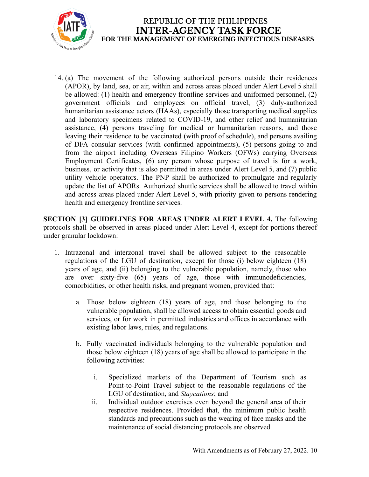

14. (a) The movement of the following authorized persons outside their residences (APOR), by land, sea, or air, within and across areas placed under Alert Level 5 shall be allowed: (1) health and emergency frontline services and uniformed personnel, (2) government officials and employees on official travel, (3) duly-authorized humanitarian assistance actors (HAAs), especially those transporting medical supplies and laboratory specimens related to COVID-19, and other relief and humanitarian assistance, (4) persons traveling for medical or humanitarian reasons, and those leaving their residence to be vaccinated (with proof of schedule), and persons availing of DFA consular services (with confirmed appointments), (5) persons going to and from the airport including Overseas Filipino Workers (OFWs) carrying Overseas Employment Certificates, (6) any person whose purpose of travel is for a work, business, or activity that is also permitted in areas under Alert Level 5, and (7) public utility vehicle operators. The PNP shall be authorized to promulgate and regularly update the list of APORs. Authorized shuttle services shall be allowed to travel within and across areas placed under Alert Level 5, with priority given to persons rendering health and emergency frontline services.

**SECTION [3] GUIDELINES FOR AREAS UNDER ALERT LEVEL 4.** The following protocols shall be observed in areas placed under Alert Level 4, except for portions thereof under granular lockdown:

- 1. Intrazonal and interzonal travel shall be allowed subject to the reasonable regulations of the LGU of destination, except for those (i) below eighteen (18) years of age, and (ii) belonging to the vulnerable population, namely, those who are over sixty-five (65) years of age, those with immunodeficiencies, comorbidities, or other health risks, and pregnant women, provided that:
	- a. Those below eighteen (18) years of age, and those belonging to the vulnerable population, shall be allowed access to obtain essential goods and services, or for work in permitted industries and offices in accordance with existing labor laws, rules, and regulations.
	- b. Fully vaccinated individuals belonging to the vulnerable population and those below eighteen (18) years of age shall be allowed to participate in the following activities:
		- i. Specialized markets of the Department of Tourism such as Point-to-Point Travel subject to the reasonable regulations of the LGU of destination, and *Staycations*; and
		- ii. Individual outdoor exercises even beyond the general area of their respective residences. Provided that, the minimum public health standards and precautions such as the wearing of face masks and the maintenance of social distancing protocols are observed.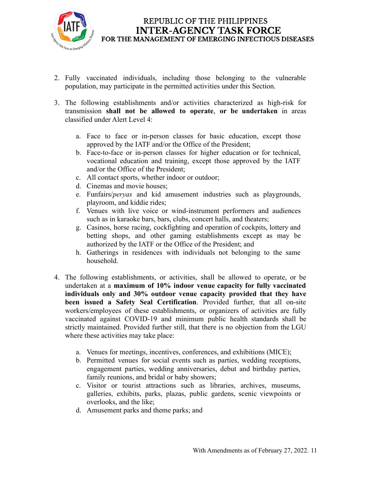

- 2. Fully vaccinated individuals, including those belonging to the vulnerable population, may participate in the permitted activities under this Section.
- 3. The following establishments and/or activities characterized as high-risk for transmission **shall not be allowed to operate**, **or be undertaken** in areas classified under Alert Level 4:
	- a. Face to face or in-person classes for basic education, except those approved by the IATF and/or the Office of the President;
	- b. Face-to-face or in-person classes for higher education or for technical, vocational education and training, except those approved by the IATF and/or the Office of the President;
	- c. All contact sports, whether indoor or outdoor;
	- d. Cinemas and movie houses;
	- e. Funfairs/*peryas* and kid amusement industries such as playgrounds, playroom, and kiddie rides;
	- f. Venues with live voice or wind-instrument performers and audiences such as in karaoke bars, bars, clubs, concert halls, and theaters;
	- g. Casinos, horse racing, cockfighting and operation of cockpits, lottery and betting shops, and other gaming establishments except as may be authorized by the IATF or the Office of the President; and
	- h. Gatherings in residences with individuals not belonging to the same household.
- 4. The following establishments, or activities, shall be allowed to operate, or be undertaken at a **maximum of 10% indoor venue capacity for fully vaccinated individuals only and 30% outdoor venue capacity provided that they have been issued a Safety Seal Certification**. Provided further, that all on-site workers/employees of these establishments, or organizers of activities are fully vaccinated against COVID-19 and minimum public health standards shall be strictly maintained. Provided further still, that there is no objection from the LGU where these activities may take place:
	- a. Venues for meetings, incentives, conferences, and exhibitions (MICE);
	- b. Permitted venues for social events such as parties, wedding receptions, engagement parties, wedding anniversaries, debut and birthday parties, family reunions, and bridal or baby showers;
	- c. Visitor or tourist attractions such as libraries, archives, museums, galleries, exhibits, parks, plazas, public gardens, scenic viewpoints or overlooks, and the like;
	- d. Amusement parks and theme parks; and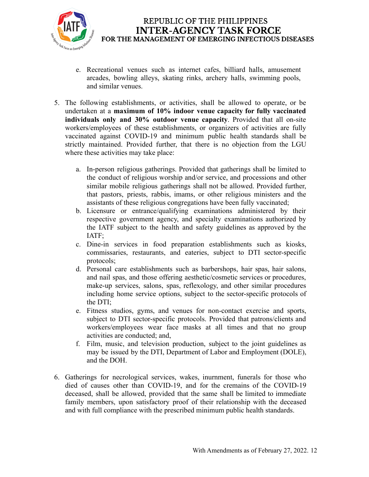

- e. Recreational venues such as internet cafes, billiard halls, amusement arcades, bowling alleys, skating rinks, archery halls, swimming pools, and similar venues.
- 5. The following establishments, or activities, shall be allowed to operate, or be undertaken at a **maximum of 10% indoor venue capacity for fully vaccinated individuals only and 30% outdoor venue capacity**. Provided that all on-site workers/employees of these establishments, or organizers of activities are fully vaccinated against COVID-19 and minimum public health standards shall be strictly maintained. Provided further, that there is no objection from the LGU where these activities may take place:
	- a. In-person religious gatherings. Provided that gatherings shall be limited to the conduct of religious worship and/or service, and processions and other similar mobile religious gatherings shall not be allowed. Provided further, that pastors, priests, rabbis, imams, or other religious ministers and the assistants of these religious congregations have been fully vaccinated;
	- b. Licensure or entrance/qualifying examinations administered by their respective government agency, and specialty examinations authorized by the IATF subject to the health and safety guidelines as approved by the IATF;
	- c. Dine-in services in food preparation establishments such as kiosks, commissaries, restaurants, and eateries, subject to DTI sector-specific protocols;
	- d. Personal care establishments such as barbershops, hair spas, hair salons, and nail spas, and those offering aesthetic/cosmetic services or procedures, make-up services, salons, spas, reflexology, and other similar procedures including home service options, subject to the sector-specific protocols of the DTI;
	- e. Fitness studios, gyms, and venues for non-contact exercise and sports, subject to DTI sector-specific protocols. Provided that patrons/clients and workers/employees wear face masks at all times and that no group activities are conducted; and,
	- f. Film, music, and television production, subject to the joint guidelines as may be issued by the DTI, Department of Labor and Employment (DOLE), and the DOH.
- 6. Gatherings for necrological services, wakes, inurnment, funerals for those who died of causes other than COVID-19, and for the cremains of the COVID-19 deceased, shall be allowed, provided that the same shall be limited to immediate family members, upon satisfactory proof of their relationship with the deceased and with full compliance with the prescribed minimum public health standards.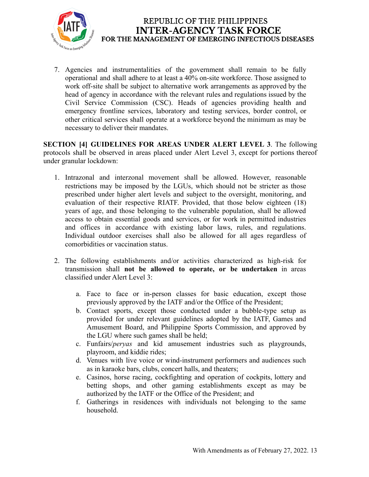

7. Agencies and instrumentalities of the government shall remain to be fully operational and shall adhere to at least a 40% on-site workforce. Those assigned to work off-site shall be subject to alternative work arrangements as approved by the head of agency in accordance with the relevant rules and regulations issued by the Civil Service Commission (CSC). Heads of agencies providing health and emergency frontline services, laboratory and testing services, border control, or other critical services shall operate at a workforce beyond the minimum as may be necessary to deliver their mandates.

**SECTION [4] GUIDELINES FOR AREAS UNDER ALERT LEVEL 3**. The following protocols shall be observed in areas placed under Alert Level 3, except for portions thereof under granular lockdown:

- 1. Intrazonal and interzonal movement shall be allowed. However, reasonable restrictions may be imposed by the LGUs, which should not be stricter as those prescribed under higher alert levels and subject to the oversight, monitoring, and evaluation of their respective RIATF. Provided, that those below eighteen (18) years of age, and those belonging to the vulnerable population, shall be allowed access to obtain essential goods and services, or for work in permitted industries and offices in accordance with existing labor laws, rules, and regulations. Individual outdoor exercises shall also be allowed for all ages regardless of comorbidities or vaccination status.
- 2. The following establishments and/or activities characterized as high-risk for transmission shall **not be allowed to operate, or be undertaken** in areas classified under Alert Level 3:
	- a. Face to face or in-person classes for basic education, except those previously approved by the IATF and/or the Office of the President;
	- b. Contact sports, except those conducted under a bubble-type setup as provided for under relevant guidelines adopted by the IATF, Games and Amusement Board, and Philippine Sports Commission, and approved by the LGU where such games shall be held;
	- c. Funfairs/*peryas* and kid amusement industries such as playgrounds, playroom, and kiddie rides;
	- d. Venues with live voice or wind-instrument performers and audiences such as in karaoke bars, clubs, concert halls, and theaters;
	- e. Casinos, horse racing, cockfighting and operation of cockpits, lottery and betting shops, and other gaming establishments except as may be authorized by the IATF or the Office of the President; and
	- f. Gatherings in residences with individuals not belonging to the same household.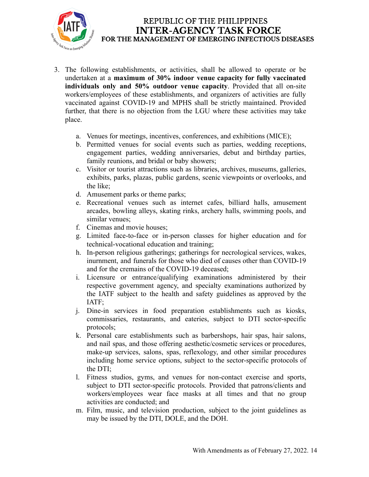

- 3. The following establishments, or activities, shall be allowed to operate or be undertaken at a **maximum of 30% indoor venue capacity for fully vaccinated individuals only and 50% outdoor venue capacity**. Provided that all on-site workers/employees of these establishments, and organizers of activities are fully vaccinated against COVID-19 and MPHS shall be strictly maintained. Provided further, that there is no objection from the LGU where these activities may take place.
	- a. Venues for meetings, incentives, conferences, and exhibitions (MICE);
	- b. Permitted venues for social events such as parties, wedding receptions, engagement parties, wedding anniversaries, debut and birthday parties, family reunions, and bridal or baby showers;
	- c. Visitor or tourist attractions such as libraries, archives, museums, galleries, exhibits, parks, plazas, public gardens, scenic viewpoints or overlooks, and the like;
	- d. Amusement parks or theme parks;
	- e. Recreational venues such as internet cafes, billiard halls, amusement arcades, bowling alleys, skating rinks, archery halls, swimming pools, and similar venues;
	- f. Cinemas and movie houses;
	- g. Limited face-to-face or in-person classes for higher education and for technical-vocational education and training;
	- h. In-person religious gatherings; gatherings for necrological services, wakes, inurnment, and funerals for those who died of causes other than COVID-19 and for the cremains of the COVID-19 deceased;
	- i. Licensure or entrance/qualifying examinations administered by their respective government agency, and specialty examinations authorized by the IATF subject to the health and safety guidelines as approved by the IATF;
	- j. Dine-in services in food preparation establishments such as kiosks, commissaries, restaurants, and eateries, subject to DTI sector-specific protocols;
	- k. Personal care establishments such as barbershops, hair spas, hair salons, and nail spas, and those offering aesthetic/cosmetic services or procedures, make-up services, salons, spas, reflexology, and other similar procedures including home service options, subject to the sector-specific protocols of the DTI;
	- l. Fitness studios, gyms, and venues for non-contact exercise and sports, subject to DTI sector-specific protocols. Provided that patrons/clients and workers/employees wear face masks at all times and that no group activities are conducted; and
	- m. Film, music, and television production, subject to the joint guidelines as may be issued by the DTI, DOLE, and the DOH.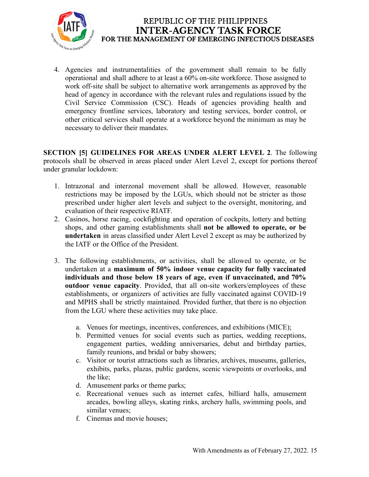

4. Agencies and instrumentalities of the government shall remain to be fully operational and shall adhere to at least a 60% on-site workforce. Those assigned to work off-site shall be subject to alternative work arrangements as approved by the head of agency in accordance with the relevant rules and regulations issued by the Civil Service Commission (CSC). Heads of agencies providing health and emergency frontline services, laboratory and testing services, border control, or other critical services shall operate at a workforce beyond the minimum as may be necessary to deliver their mandates.

**SECTION [5] GUIDELINES FOR AREAS UNDER ALERT LEVEL 2**. The following protocols shall be observed in areas placed under Alert Level 2, except for portions thereof under granular lockdown:

- 1. Intrazonal and interzonal movement shall be allowed. However, reasonable restrictions may be imposed by the LGUs, which should not be stricter as those prescribed under higher alert levels and subject to the oversight, monitoring, and evaluation of their respective RIATF.
- 2. Casinos, horse racing, cockfighting and operation of cockpits, lottery and betting shops, and other gaming establishments shall **not be allowed to operate, or be undertaken** in areas classified under Alert Level 2 except as may be authorized by the IATF or the Office of the President.
- 3. The following establishments, or activities, shall be allowed to operate, or be undertaken at a **maximum of 50% indoor venue capacity for fully vaccinated individuals and those below 18 years of age, even if unvaccinated, and 70% outdoor venue capacity**. Provided, that all on-site workers/employees of these establishments, or organizers of activities are fully vaccinated against COVID-19 and MPHS shall be strictly maintained. Provided further, that there is no objection from the LGU where these activities may take place.
	- a. Venues for meetings, incentives, conferences, and exhibitions (MICE);
	- b. Permitted venues for social events such as parties, wedding receptions, engagement parties, wedding anniversaries, debut and birthday parties, family reunions, and bridal or baby showers;
	- c. Visitor or tourist attractions such as libraries, archives, museums, galleries, exhibits, parks, plazas, public gardens, scenic viewpoints or overlooks, and the like;
	- d. Amusement parks or theme parks;
	- e. Recreational venues such as internet cafes, billiard halls, amusement arcades, bowling alleys, skating rinks, archery halls, swimming pools, and similar venues;
	- f. Cinemas and movie houses;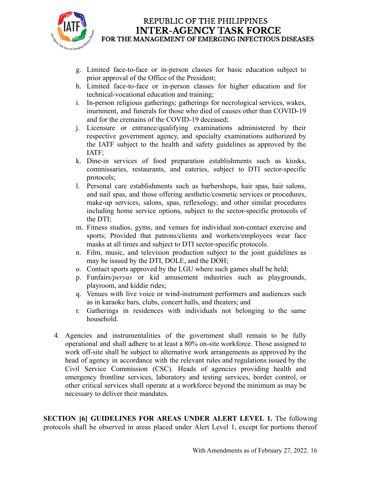

- g. Limited face-to-face or in-person classes for basic education subject to prior approval of the Office of the President;
- h. Limited face-to-face or in-person classes for higher education and for technical-vocational education and training;
- i. In-person religious gatherings; gatherings for necrological services, wakes, inurnment, and funerals for those who died of causes other than COVID-19 and for the cremains of the COVID-19 deceased;
- j. Licensure or entrance/qualifying examinations administered by their respective government agency, and specialty examinations authorized by the IATF subject to the health and safety guidelines as approved by the IATF;
- k. Dine-in services of food preparation establishments such as kiosks, commissaries, restaurants, and eateries, subject to DTI sector-specific protocols;
- l. Personal care establishments such as barbershops, hair spas, hair salons, and nail spas, and those offering aesthetic/cosmetic services or procedures, make-up services, salons, spas, reflexology, and other similar procedures including home service options, subject to the sector-specific protocols of the DTI;
- m. Fitness studios, gyms, and venues for individual non-contact exercise and sports; Provided that patrons/clients and workers/employees wear face masks at all times and subject to DTI sector-specific protocols.
- n. Film, music, and television production subject to the joint guidelines as may be issued by the DTI, DOLE, and the DOH;
- o. Contact sports approved by the LGU where such games shall be held;
- p. Funfairs/*peryas* or kid amusement industries such as playgrounds, playroom, and kiddie rides;
- q. Venues with live voice or wind-instrument performers and audiences such as in karaoke bars, clubs, concert halls, and theaters; and
- r. Gatherings in residences with individuals not belonging to the same household.
- 4. Agencies and instrumentalities of the government shall remain to be fully operational and shall adhere to at least a 80% on-site workforce. Those assigned to work off-site shall be subject to alternative work arrangements as approved by the head of agency in accordance with the relevant rules and regulations issued by the Civil Service Commission (CSC). Heads of agencies providing health and emergency frontline services, laboratory and testing services, border control, or other critical services shall operate at a workforce beyond the minimum as may be necessary to deliver their mandates.

**SECTION [6] GUIDELINES FOR AREAS UNDER ALERT LEVEL 1.** The following protocols shall be observed in areas placed under Alert Level 1, except for portions thereof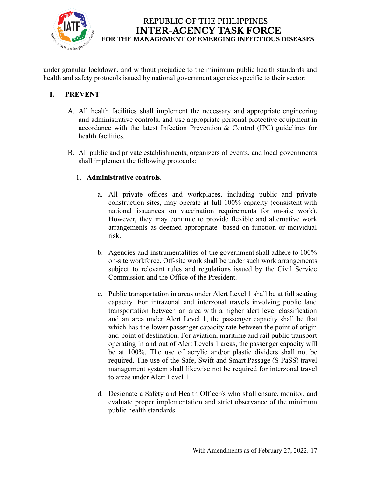

under granular lockdown, and without prejudice to the minimum public health standards and health and safety protocols issued by national government agencies specific to their sector:

## **I. PREVENT**

- A. All health facilities shall implement the necessary and appropriate engineering and administrative controls, and use appropriate personal protective equipment in accordance with the latest Infection Prevention & Control (IPC) guidelines for health facilities.
- B. All public and private establishments, organizers of events, and local governments shall implement the following protocols:

## 1. **Administrative controls**.

- a. All private offices and workplaces, including public and private construction sites, may operate at full 100% capacity (consistent with national issuances on vaccination requirements for on-site work). However, they may continue to provide flexible and alternative work arrangements as deemed appropriate based on function or individual risk.
- b. Agencies and instrumentalities of the government shall adhere to 100% on-site workforce. Off-site work shall be under such work arrangements subject to relevant rules and regulations issued by the Civil Service Commission and the Office of the President.
- c. Public transportation in areas under Alert Level 1 shall be at full seating capacity. For intrazonal and interzonal travels involving public land transportation between an area with a higher alert level classification and an area under Alert Level 1, the passenger capacity shall be that which has the lower passenger capacity rate between the point of origin and point of destination. For aviation, maritime and rail public transport operating in and out of Alert Levels 1 areas, the passenger capacity will be at 100%. The use of acrylic and/or plastic dividers shall not be required. The use of the Safe, Swift and Smart Passage (S-PaSS) travel management system shall likewise not be required for interzonal travel to areas under Alert Level 1.
- d. Designate a Safety and Health Officer/s who shall ensure, monitor, and evaluate proper implementation and strict observance of the minimum public health standards.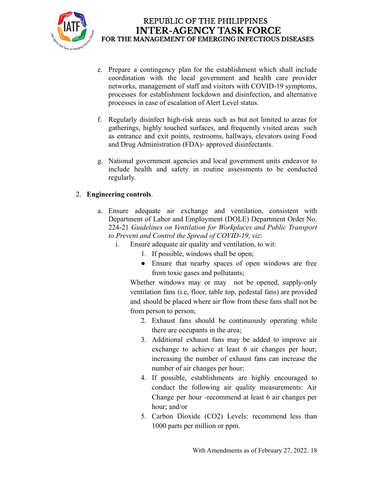

- e. Prepare a contingency plan for the establishment which shall include coordination with the local government and health care provider networks, management of staff and visitors with COVID-19 symptoms, processes for establishment lockdown and disinfection, and alternative processes in case of escalation of Alert Level status.
- f. Regularly disinfect high-risk areas such as but not limited to areas for gatherings, highly touched surfaces, and frequently visited areas such as entrance and exit points, restrooms, hallways, elevators using Food and Drug Administration (FDA)- approved disinfectants.
- g. National government agencies and local government units endeavor to include health and safety in routine assessments to be conducted regularly.

## 2. **Engineering controls**.

- a. Ensure adequate air exchange and ventilation, consistent with Department of Labor and Employment (DOLE) Department Order No. 224-21 *Guidelines on Ventilation for Workplaces and Public Transport to Prevent and Control the Spread of COVID-19, viz*:
	- i. Ensure adequate air quality and ventilation, to wit:
		- 1. If possible, windows shall be open;
		- Ensure that nearby spaces of open windows are free from toxic gases and pollutants;

Whether windows may or may not be opened, supply-only ventilation fans (i.e, floor, table top, pedestal fans) are provided and should be placed where air flow from these fans shall not be from person to person;

- 2. Exhaust fans should be continuously operating while there are occupants in the area;
- 3. Additional exhaust fans may be added to improve air exchange to achieve at least 6 air changes per hour; increasing the number of exhaust fans can increase the number of air changes per hour;
- 4. If possible, establishments are highly encouraged to conduct the following air quality measurements: Air Change per hour -recommend at least 6 air changes per hour; and/or
- 5. Carbon Dioxide (CO2) Levels: recommend less than 1000 parts per million or ppm.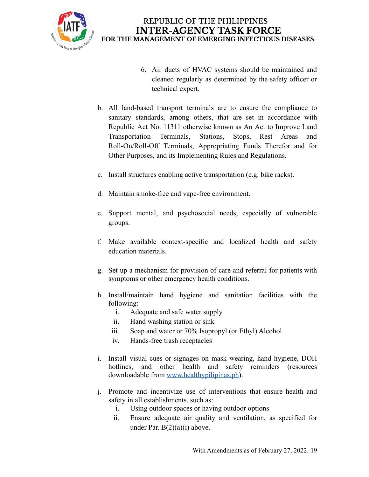

- 6. Air ducts of HVAC systems should be maintained and cleaned regularly as determined by the safety officer or technical expert.
- b. All land-based transport terminals are to ensure the compliance to sanitary standards, among others, that are set in accordance with Republic Act No. 11311 otherwise known as An Act to Improve Land Transportation Terminals, Stations, Stops, Rest Areas and Roll-On/Roll-Off Terminals, Appropriating Funds Therefor and for Other Purposes, and its Implementing Rules and Regulations.
- c. Install structures enabling active transportation (e.g. bike racks).
- d. Maintain smoke-free and vape-free environment.
- e. Support mental, and psychosocial needs, especially of vulnerable groups.
- f. Make available context-specific and localized health and safety education materials.
- g. Set up a mechanism for provision of care and referral for patients with symptoms or other emergency health conditions.
- h. Install/maintain hand hygiene and sanitation facilities with the following:
	- i. Adequate and safe water supply
	- ii. Hand washing station or sink
	- iii. Soap and water or 70% Isopropyl (or Ethyl) Alcohol
	- iv. Hands-free trash receptacles
- i. Install visual cues or signages on mask wearing, hand hygiene, DOH hotlines, and other health and safety reminders (resources downloadable from [www.healthypilipinas.ph\)](http://www.healthypilipinas.ph).
- j. Promote and incentivize use of interventions that ensure health and safety in all establishments, such as:
	- i. Using outdoor spaces or having outdoor options
	- ii. Ensure adequate air quality and ventilation, as specified for under Par.  $B(2)(a)(i)$  above.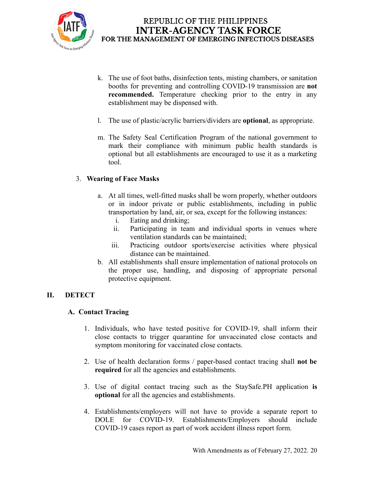

- k. The use of foot baths, disinfection tents, misting chambers, or sanitation booths for preventing and controlling COVID-19 transmission are **not recommended.** Temperature checking prior to the entry in any establishment may be dispensed with.
- l. The use of plastic/acrylic barriers/dividers are **optional**, as appropriate.
- m. The Safety Seal Certification Program of the national government to mark their compliance with minimum public health standards is optional but all establishments are encouraged to use it as a marketing tool.

### 3. **Wearing of Face Masks**

- a. At all times, well-fitted masks shall be worn properly, whether outdoors or in indoor private or public establishments, including in public transportation by land, air, or sea, except for the following instances:
	- i. Eating and drinking;
	- ii. Participating in team and individual sports in venues where ventilation standards can be maintained;
	- iii. Practicing outdoor sports/exercise activities where physical distance can be maintained.
- b. All establishments shall ensure implementation of national protocols on the proper use, handling, and disposing of appropriate personal protective equipment.

#### **II. DETECT**

#### **A. Contact Tracing**

- 1. Individuals, who have tested positive for COVID-19, shall inform their close contacts to trigger quarantine for unvaccinated close contacts and symptom monitoring for vaccinated close contacts.
- 2. Use of health declaration forms / paper-based contact tracing shall **not be required** for all the agencies and establishments.
- 3. Use of digital contact tracing such as the StaySafe.PH application **is optional** for all the agencies and establishments.
- 4. Establishments/employers will not have to provide a separate report to DOLE for COVID-19. Establishments/Employers should include COVID-19 cases report as part of work accident illness report form.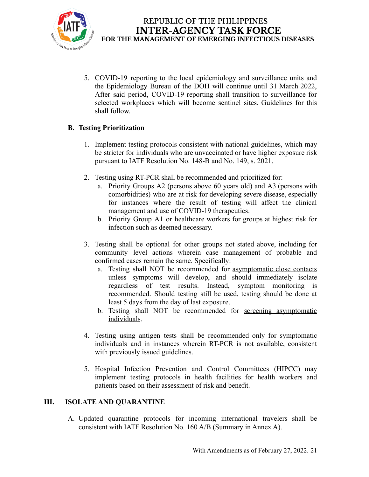

5. COVID-19 reporting to the local epidemiology and surveillance units and the Epidemiology Bureau of the DOH will continue until 31 March 2022, After said period, COVID-19 reporting shall transition to surveillance for selected workplaces which will become sentinel sites. Guidelines for this shall follow.

## **B. Testing Prioritization**

- 1. Implement testing protocols consistent with national guidelines, which may be stricter for individuals who are unvaccinated or have higher exposure risk pursuant to IATF Resolution No. 148-B and No. 149, s. 2021.
- 2. Testing using RT-PCR shall be recommended and prioritized for:
	- a. Priority Groups A2 (persons above 60 years old) and A3 (persons with comorbidities) who are at risk for developing severe disease, especially for instances where the result of testing will affect the clinical management and use of COVID-19 therapeutics.
	- b. Priority Group A1 or healthcare workers for groups at highest risk for infection such as deemed necessary.
- 3. Testing shall be optional for other groups not stated above, including for community level actions wherein case management of probable and confirmed cases remain the same. Specifically:
	- a. Testing shall NOT be recommended for asymptomatic close contacts unless symptoms will develop, and should immediately isolate regardless of test results. Instead, symptom monitoring is recommended. Should testing still be used, testing should be done at least 5 days from the day of last exposure.
	- b. Testing shall NOT be recommended for screening asymptomatic individuals.
- 4. Testing using antigen tests shall be recommended only for symptomatic individuals and in instances wherein RT-PCR is not available, consistent with previously issued guidelines.
- 5. Hospital Infection Prevention and Control Committees (HIPCC) may implement testing protocols in health facilities for health workers and patients based on their assessment of risk and benefit.

## **III. ISOLATE AND QUARANTINE**

A. Updated quarantine protocols for incoming international travelers shall be consistent with IATF Resolution No. 160 A/B (Summary in Annex A).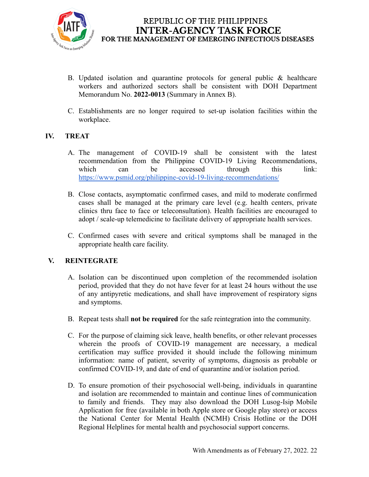

- B. Updated isolation and quarantine protocols for general public & healthcare workers and authorized sectors shall be consistent with DOH Department Memorandum No. **2022-0013** (Summary in Annex B).
- C. Establishments are no longer required to set-up isolation facilities within the workplace.

### **IV. TREAT**

- A. The management of COVID-19 shall be consistent with the latest recommendation from the Philippine COVID-19 Living Recommendations, which can be accessed through this link: <https://www.psmid.org/philippine-covid-19-living-recommendations/>
- B. Close contacts, asymptomatic confirmed cases, and mild to moderate confirmed cases shall be managed at the primary care level (e.g. health centers, private clinics thru face to face or teleconsultation). Health facilities are encouraged to adopt / scale-up telemedicine to facilitate delivery of appropriate health services.
- C. Confirmed cases with severe and critical symptoms shall be managed in the appropriate health care facility.

#### **V. REINTEGRATE**

- A. Isolation can be discontinued upon completion of the recommended isolation period, provided that they do not have fever for at least 24 hours without the use of any antipyretic medications, and shall have improvement of respiratory signs and symptoms.
- B. Repeat tests shall **not be required** for the safe reintegration into the community.
- C. For the purpose of claiming sick leave, health benefits, or other relevant processes wherein the proofs of COVID-19 management are necessary, a medical certification may suffice provided it should include the following minimum information: name of patient, severity of symptoms, diagnosis as probable or confirmed COVID-19, and date of end of quarantine and/or isolation period.
- D. To ensure promotion of their psychosocial well-being, individuals in quarantine and isolation are recommended to maintain and continue lines of communication to family and friends. They may also download the DOH Lusog-Isip Mobile Application for free (available in both Apple store or Google play store) or access the National Center for Mental Health (NCMH) Crisis Hotline or the DOH Regional Helplines for mental health and psychosocial support concerns.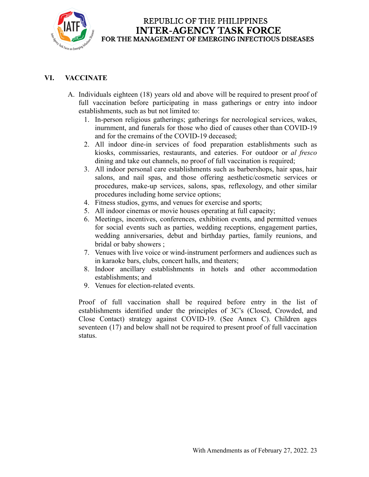

# **VI. VACCINATE**

- A. Individuals eighteen (18) years old and above will be required to present proof of full vaccination before participating in mass gatherings or entry into indoor establishments, such as but not limited to:
	- 1. In-person religious gatherings; gatherings for necrological services, wakes, inurnment, and funerals for those who died of causes other than COVID-19 and for the cremains of the COVID-19 deceased;
	- 2. All indoor dine-in services of food preparation establishments such as kiosks, commissaries, restaurants, and eateries. For outdoor or *al fresco* dining and take out channels, no proof of full vaccination is required;
	- 3. All indoor personal care establishments such as barbershops, hair spas, hair salons, and nail spas, and those offering aesthetic/cosmetic services or procedures, make-up services, salons, spas, reflexology, and other similar procedures including home service options;
	- 4. Fitness studios, gyms, and venues for exercise and sports;
	- 5. All indoor cinemas or movie houses operating at full capacity;
	- 6. Meetings, incentives, conferences, exhibition events, and permitted venues for social events such as parties, wedding receptions, engagement parties, wedding anniversaries, debut and birthday parties, family reunions, and bridal or baby showers ;
	- 7. Venues with live voice or wind-instrument performers and audiences such as in karaoke bars, clubs, concert halls, and theaters;
	- 8. Indoor ancillary establishments in hotels and other accommodation establishments; and
	- 9. Venues for election-related events.

Proof of full vaccination shall be required before entry in the list of establishments identified under the principles of 3C's (Closed, Crowded, and Close Contact) strategy against COVID-19. (See Annex C). Children ages seventeen (17) and below shall not be required to present proof of full vaccination status.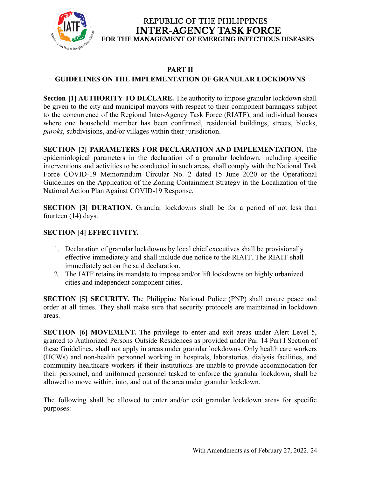

# **PART II**

## **GUIDELINES ON THE IMPLEMENTATION OF GRANULAR LOCKDOWNS**

**Section [1] AUTHORITY TO DECLARE.** The authority to impose granular lockdown shall be given to the city and municipal mayors with respect to their component barangays subject to the concurrence of the Regional Inter-Agency Task Force (RIATF), and individual houses where one household member has been confirmed, residential buildings, streets, blocks, *puroks*, subdivisions, and/or villages within their jurisdiction.

**SECTION [2] PARAMETERS FOR DECLARATION AND IMPLEMENTATION.** The epidemiological parameters in the declaration of a granular lockdown, including specific interventions and activities to be conducted in such areas, shall comply with the National Task Force COVID-19 Memorandum Circular No. 2 dated 15 June 2020 or the Operational Guidelines on the Application of the Zoning Containment Strategy in the Localization of the National Action Plan Against COVID-19 Response.

**SECTION [3] DURATION.** Granular lockdowns shall be for a period of not less than fourteen (14) days.

## **SECTION [4] EFFECTIVITY.**

- 1. Declaration of granular lockdowns by local chief executives shall be provisionally effective immediately and shall include due notice to the RIATF. The RIATF shall immediately act on the said declaration.
- 2. The IATF retains its mandate to impose and/or lift lockdowns on highly urbanized cities and independent component cities.

**SECTION [5] SECURITY.** The Philippine National Police (PNP) shall ensure peace and order at all times. They shall make sure that security protocols are maintained in lockdown areas.

**SECTION [6] MOVEMENT.** The privilege to enter and exit areas under Alert Level 5, granted to Authorized Persons Outside Residences as provided under Par. 14 Part I Section of these Guidelines, shall not apply in areas under granular lockdowns. Only health care workers (HCWs) and non-health personnel working in hospitals, laboratories, dialysis facilities, and community healthcare workers if their institutions are unable to provide accommodation for their personnel, and uniformed personnel tasked to enforce the granular lockdown, shall be allowed to move within, into, and out of the area under granular lockdown.

The following shall be allowed to enter and/or exit granular lockdown areas for specific purposes: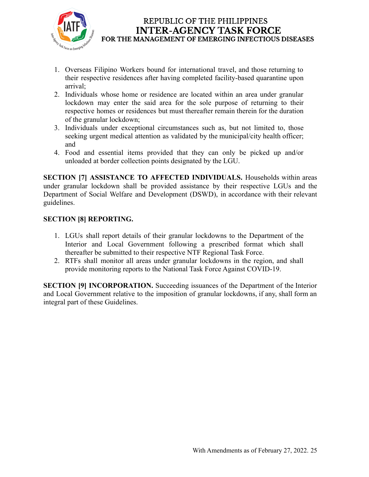

- 1. Overseas Filipino Workers bound for international travel, and those returning to their respective residences after having completed facility-based quarantine upon arrival;
- 2. Individuals whose home or residence are located within an area under granular lockdown may enter the said area for the sole purpose of returning to their respective homes or residences but must thereafter remain therein for the duration of the granular lockdown;
- 3. Individuals under exceptional circumstances such as, but not limited to, those seeking urgent medical attention as validated by the municipal/city health officer; and
- 4. Food and essential items provided that they can only be picked up and/or unloaded at border collection points designated by the LGU.

**SECTION [7] ASSISTANCE TO AFFECTED INDIVIDUALS.** Households within areas under granular lockdown shall be provided assistance by their respective LGUs and the Department of Social Welfare and Development (DSWD), in accordance with their relevant guidelines.

## **SECTION [8] REPORTING.**

- 1. LGUs shall report details of their granular lockdowns to the Department of the Interior and Local Government following a prescribed format which shall thereafter be submitted to their respective NTF Regional Task Force.
- 2. RTFs shall monitor all areas under granular lockdowns in the region, and shall provide monitoring reports to the National Task Force Against COVID-19.

**SECTION** [9] **INCORPORATION.** Succeeding issuances of the Department of the Interior and Local Government relative to the imposition of granular lockdowns, if any, shall form an integral part of these Guidelines.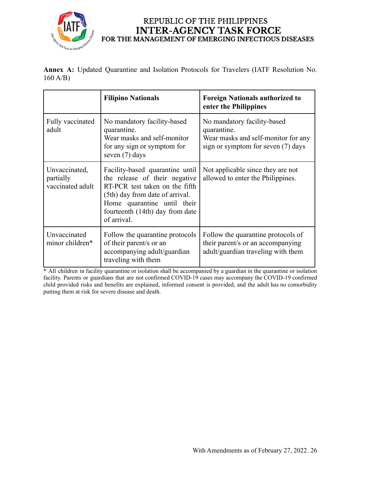

|         | Annex A: Updated Quarantine and Isolation Protocols for Travelers (IATF Resolution No. |  |  |  |  |
|---------|----------------------------------------------------------------------------------------|--|--|--|--|
| 160 A/B |                                                                                        |  |  |  |  |

|                                                                                                                                                     | <b>Filipino Nationals</b>                                                                                                                                                                                              | <b>Foreign Nationals authorized to</b><br>enter the Philippines                                                         |  |
|-----------------------------------------------------------------------------------------------------------------------------------------------------|------------------------------------------------------------------------------------------------------------------------------------------------------------------------------------------------------------------------|-------------------------------------------------------------------------------------------------------------------------|--|
| Fully vaccinated<br>adult                                                                                                                           | No mandatory facility-based<br>quarantine.<br>Wear masks and self-monitor<br>for any sign or symptom for<br>seven (7) days                                                                                             | No mandatory facility-based<br>quarantine.<br>Wear masks and self-monitor for any<br>sign or symptom for seven (7) days |  |
| Unvaccinated,<br>partially<br>vaccinated adult                                                                                                      | Facility-based quarantine until<br>the release of their negative<br>RT-PCR test taken on the fifth<br>(5th) day from date of arrival.<br>Home quarantine until their<br>fourteenth (14th) day from date<br>of arrival. | Not applicable since they are not<br>allowed to enter the Philippines.                                                  |  |
| Unvaccinated<br>Follow the quarantine protocols<br>minor children*<br>of their parent/s or an<br>accompanying adult/guardian<br>traveling with them |                                                                                                                                                                                                                        | Follow the quarantine protocols of<br>their parent/s or an accompanying<br>adult/guardian traveling with them           |  |

\* All children in facility quarantine or isolation shall be accompanied by a guardian in the quarantine or isolation facility. Parents or guardians that are not confirmed COVID-19 cases may accompany the COVID-19 confirmed child provided risks and benefits are explained, informed consent is provided, and the adult has no comorbidity putting them at risk for severe disease and death.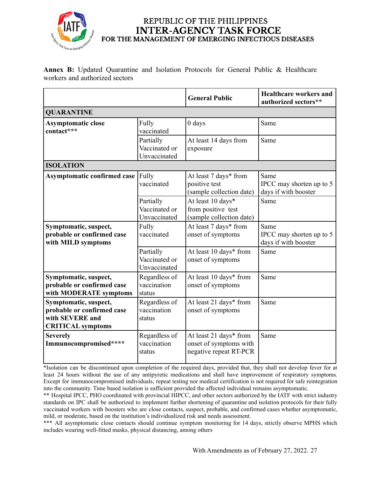

**Annex B:** Updated Quarantine and Isolation Protocols for General Public & Healthcare workers and authorized sectors

|                                                                                                    |                                            | <b>General Public</b>                                                      | <b>Healthcare workers and</b><br>authorized sectors**    |  |  |  |  |  |  |
|----------------------------------------------------------------------------------------------------|--------------------------------------------|----------------------------------------------------------------------------|----------------------------------------------------------|--|--|--|--|--|--|
| <b>QUARANTINE</b>                                                                                  |                                            |                                                                            |                                                          |  |  |  |  |  |  |
| <b>Asymptomatic close</b><br>contact***                                                            | Fully<br>vaccinated                        | 0 days                                                                     | Same                                                     |  |  |  |  |  |  |
|                                                                                                    | Partially<br>Vaccinated or<br>Unvaccinated | At least 14 days from<br>exposure                                          | Same                                                     |  |  |  |  |  |  |
| <b>ISOLATION</b>                                                                                   |                                            |                                                                            |                                                          |  |  |  |  |  |  |
| <b>Asymptomatic confirmed case</b>                                                                 | Fully<br>vaccinated                        | At least 7 days* from<br>positive test<br>(sample collection date)         | Same<br>IPCC may shorten up to 5<br>days if with booster |  |  |  |  |  |  |
|                                                                                                    | Partially<br>Vaccinated or<br>Unvaccinated | At least 10 days*<br>from positive test<br>(sample collection date)        | Same                                                     |  |  |  |  |  |  |
| Symptomatic, suspect,<br>probable or confirmed case<br>with MILD symptoms                          | Fully<br>vaccinated                        | At least 7 days* from<br>onset of symptoms                                 | Same<br>IPCC may shorten up to 5<br>days if with booster |  |  |  |  |  |  |
|                                                                                                    | Partially<br>Vaccinated or<br>Unvaccinated | At least 10 days* from<br>onset of symptoms                                | Same                                                     |  |  |  |  |  |  |
| Symptomatic, suspect,<br>probable or confirmed case<br>with MODERATE symptoms                      | Regardless of<br>vaccination<br>status     | At least 10 days* from<br>onset of symptoms                                | Same                                                     |  |  |  |  |  |  |
| Symptomatic, suspect,<br>probable or confirmed case<br>with SEVERE and<br><b>CRITICAL</b> symptoms | Regardless of<br>vaccination<br>status     | At least 21 days* from<br>onset of symptoms                                | Same                                                     |  |  |  |  |  |  |
| <b>Severely</b><br>Immunocompromised****                                                           | Regardless of<br>vaccination<br>status     | At least 21 days* from<br>onset of symptoms with<br>negative repeat RT-PCR | Same                                                     |  |  |  |  |  |  |

\*Isolation can be discontinued upon completion of the required days, provided that, they shall not develop fever for at least 24 hours without the use of any antipyretic medications and shall have improvement of respiratory symptoms. Except for immunocompromised individuals, repeat testing nor medical certification is not required for safe reintegration into the community. Time based isolation is sufficient provided the affected individual remains asymptomatic.

\*\* Hospital IPCC, PHO coordinated with provincial HIPCC, and other sectors authorized by the IATF with strict industry standards on IPC shall be authorized to implement further shortening of quarantine and isolation protocols for their fully vaccinated workers with boosters who are close contacts, suspect, probable, and confirmed cases whether asymptomatic, mild, or moderate, based on the institution's individualized risk and needs assessment.

\*\*\* All asymptomatic close contacts should continue symptom monitoring for 14 days, strictly observe MPHS which includes wearing well-fitted masks, physical distancing, among others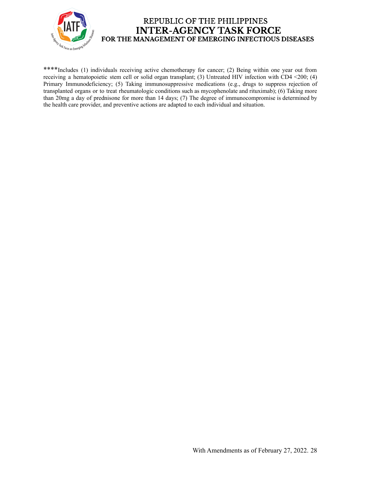

\*\*\*\*Includes (1) individuals receiving active chemotherapy for cancer; (2) Being within one year out from receiving a hematopoietic stem cell or solid organ transplant; (3) Untreated HIV infection with CD4 <200; (4) Primary Immunodeficiency; (5) Taking immunosuppressive medications (e.g., drugs to suppress rejection of transplanted organs or to treat rheumatologic conditions such as mycophenolate and rituximab); (6) Taking more than 20mg a day of prednisone for more than 14 days; (7) The degree of immunocompromise is determined by the health care provider, and preventive actions are adapted to each individual and situation.